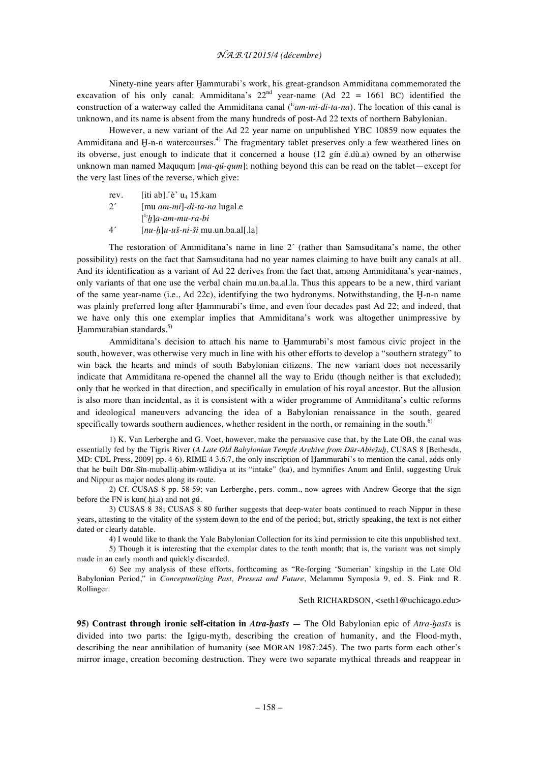## *N.A.B.U 2015/4 (décembre)*

Ninety-nine years after Ḫammurabi's work, his great-grandson Ammiditana commemorated the excavation of his only canal: Ammiditana's  $22<sup>nd</sup>$  year-name (Ad  $22 = 1661$  BC) identified the construction of a waterway called the Ammiditana canal (<sup>i<sub>7</sub>am-mi-di-ta-na). The location of this canal is</sup> unknown, and its name is absent from the many hundreds of post-Ad 22 texts of northern Babylonian.

However, a new variant of the Ad 22 year name on unpublished YBC 10859 now equates the Ammiditana and  $H$ -n-n watercourses.<sup>4)</sup> The fragmentary tablet preserves only a few weathered lines on its obverse, just enough to indicate that it concerned a house (12 gín é.dù.a) owned by an otherwise unknown man named Maququm [*ma-qú-qum*]; nothing beyond this can be read on the tablet—except for the very last lines of the reverse, which give:

rev.  $[iti \tab]$ . $\hat{e}$ <sup>'</sup> u<sub>4</sub> 15.kam 2´ [mu *am-mi*]-*di-ta-na* lugal.e [ i₇ *ḫ*]*a-am-mu-ra-bi* 4´ [*nu-ḫ*]*u-uš-ni-ši* mu.un.ba.al[.la]

The restoration of Ammiditana's name in line 2´ (rather than Samsuditana's name, the other possibility) rests on the fact that Samsuditana had no year names claiming to have built any canals at all. And its identification as a variant of Ad 22 derives from the fact that, among Ammiditana's year-names, only variants of that one use the verbal chain mu.un.ba.al.la. Thus this appears to be a new, third variant of the same year-name (i.e., Ad 22c), identifying the two hydronyms. Notwithstanding, the Ḫ-n-n name was plainly preferred long after Hammurabi's time, and even four decades past Ad 22; and indeed, that we have only this one exemplar implies that Ammiditana's work was altogether unimpressive by Hammurabian standards.<sup>5)</sup>

Ammiditana's decision to attach his name to Ḫammurabi's most famous civic project in the south, however, was otherwise very much in line with his other efforts to develop a "southern strategy" to win back the hearts and minds of south Babylonian citizens. The new variant does not necessarily indicate that Ammiditana re-opened the channel all the way to Eridu (though neither is that excluded); only that he worked in that direction, and specifically in emulation of his royal ancestor. But the allusion is also more than incidental, as it is consistent with a wider programme of Ammiditana's cultic reforms and ideological maneuvers advancing the idea of a Babylonian renaissance in the south, geared specifically towards southern audiences, whether resident in the north, or remaining in the south.<sup>6)</sup>

1) K. Van Lerberghe and G. Voet, however, make the persuasive case that, by the Late OB, the canal was essentially fed by the Tigris River (*A Late Old Babylonian Temple Archive from Dūr-Abiešuḫ*, CUSAS 8 [Bethesda, MD: CDL Press, 2009] pp. 4-6). RIME 4 3.6.7, the only inscription of Hammurabi's to mention the canal, adds only that he built Dūr-Sîn-muballiṭ-abim-wālidiya at its "intake" (ka), and hymnifies Anum and Enlil, suggesting Uruk and Nippur as major nodes along its route.

2) Cf. CUSAS 8 pp. 58-59; van Lerberghe, pers. comm., now agrees with Andrew George that the sign before the FN is kun(.ḫi.a) and not gú.

3) CUSAS 8 38; CUSAS 8 80 further suggests that deep-water boats continued to reach Nippur in these years, attesting to the vitality of the system down to the end of the period; but, strictly speaking, the text is not either dated or clearly datable.

4) I would like to thank the Yale Babylonian Collection for its kind permission to cite this unpublished text.

5) Though it is interesting that the exemplar dates to the tenth month; that is, the variant was not simply made in an early month and quickly discarded.

6) See my analysis of these efforts, forthcoming as "Re-forging 'Sumerian' kingship in the Late Old Babylonian Period," in *Conceptualizing Past, Present and Future*, Melammu Symposia 9, ed. S. Fink and R. Rollinger.

## Seth RICHARDSON, <seth1@uchicago.edu>

**95) Contrast through ironic self-citation in** *Atra-ḫasīs* **—** The Old Babylonian epic of *Atra-ḫasīs* is divided into two parts: the Igigu-myth, describing the creation of humanity, and the Flood-myth, describing the near annihilation of humanity (see MORAN 1987:245). The two parts form each other's mirror image, creation becoming destruction. They were two separate mythical threads and reappear in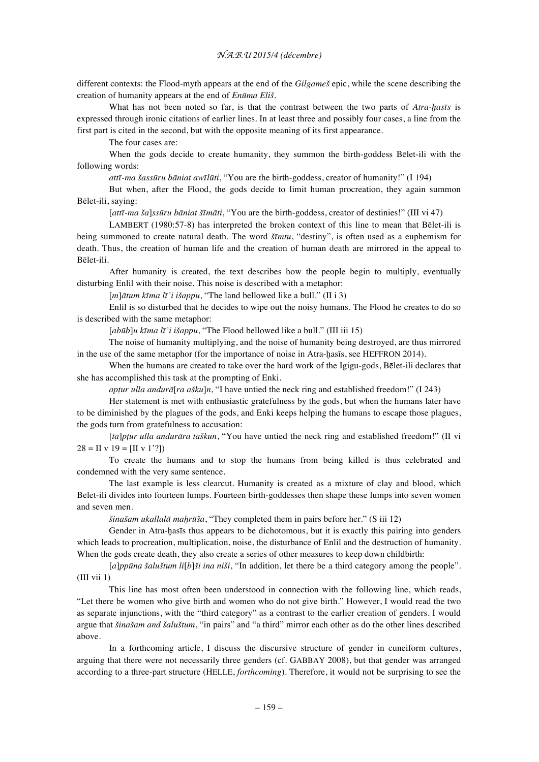## *N.A.B.U 2015/4 (décembre)*

different contexts: the Flood-myth appears at the end of the *Gilgameš* epic, while the scene describing the creation of humanity appears at the end of *Enūma Eliš*.

What has not been noted so far, is that the contrast between the two parts of *Atra-hasis* is expressed through ironic citations of earlier lines. In at least three and possibly four cases, a line from the first part is cited in the second, but with the opposite meaning of its first appearance.

The four cases are:

When the gods decide to create humanity, they summon the birth-goddess Bēlet-ili with the following words:

*attī-ma šassūru bāniat awīlūti*, "You are the birth-goddess, creator of humanity!" (I 194)

But when, after the Flood, the gods decide to limit human procreation, they again summon Bēlet-ili, saying:

[*attī-ma ša*]*ssūru bāniat šīmāti*, "You are the birth-goddess, creator of destinies!" (III vi 47)

LAMBERT (1980:57-8) has interpreted the broken context of this line to mean that Bēlet-ili is being summoned to create natural death. The word *šīmtu*, "destiny", is often used as a euphemism for death. Thus, the creation of human life and the creation of human death are mirrored in the appeal to Bēlet-ili.

After humanity is created, the text describes how the people begin to multiply, eventually disturbing Enlil with their noise. This noise is described with a metaphor:

[*m*]*ātum kīma lī'i išappu*, "The land bellowed like a bull." (II i 3)

Enlil is so disturbed that he decides to wipe out the noisy humans. The Flood he creates to do so is described with the same metaphor:

[*abūb*]*u kīma lī'i išappu*, "The Flood bellowed like a bull." (III iii 15)

The noise of humanity multiplying, and the noise of humanity being destroyed, are thus mirrored in the use of the same metaphor (for the importance of noise in Atra-ḫasīs, see HEFFRON 2014).

When the humans are created to take over the hard work of the Igigu-gods, Bēlet-ili declares that she has accomplished this task at the prompting of Enki.

*apṭur ulla andurā*[*ra ašku*]*n*, "I have untied the neck ring and established freedom!" (I 243)

Her statement is met with enthusiastic gratefulness by the gods, but when the humans later have to be diminished by the plagues of the gods, and Enki keeps helping the humans to escape those plagues, the gods turn from gratefulness to accusation:

[*ta*]*pṭur ulla andurāra taškun*, "You have untied the neck ring and established freedom!" (II vi  $28 = II \text{ v } 19 = [II \text{ v } 1'$ ?]

To create the humans and to stop the humans from being killed is thus celebrated and condemned with the very same sentence.

The last example is less clearcut. Humanity is created as a mixture of clay and blood, which Bēlet-ili divides into fourteen lumps. Fourteen birth-goddesses then shape these lumps into seven women and seven men.

*šinašam ukallalā maḫrūša*, "They completed them in pairs before her." (S iii 12)

Gender in Atra-hasīs thus appears to be dichotomous, but it is exactly this pairing into genders which leads to procreation, multiplication, noise, the disturbance of Enlil and the destruction of humanity. When the gods create death, they also create a series of other measures to keep down childbirth:

[*a*]*ppūna šaluštum li*[*b*]*ši ina niši*, "In addition, let there be a third category among the people". (III vii 1)

This line has most often been understood in connection with the following line, which reads, "Let there be women who give birth and women who do not give birth." However, I would read the two as separate injunctions, with the "third category" as a contrast to the earlier creation of genders. I would argue that *šinašam and šaluštum*, "in pairs" and "a third" mirror each other as do the other lines described above.

In a forthcoming article, I discuss the discursive structure of gender in cuneiform cultures, arguing that there were not necessarily three genders (cf. GABBAY 2008), but that gender was arranged according to a three-part structure (HELLE, *forthcoming*). Therefore, it would not be surprising to see the